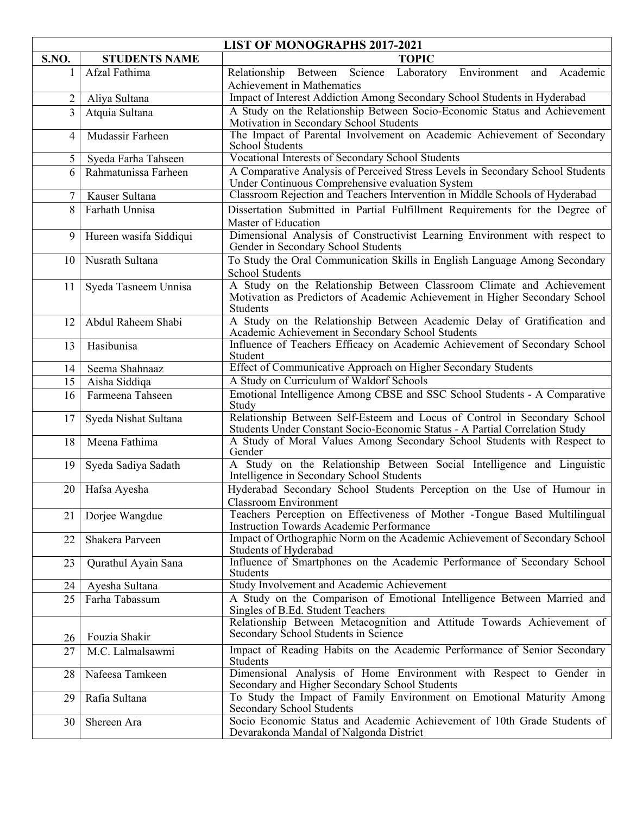| <b>LIST OF MONOGRAPHS 2017-2021</b> |                        |                                                                                                                                                                  |
|-------------------------------------|------------------------|------------------------------------------------------------------------------------------------------------------------------------------------------------------|
| S.NO.                               | <b>STUDENTS NAME</b>   | <b>TOPIC</b>                                                                                                                                                     |
|                                     | Afzal Fathima          | Laboratory Environment and<br>Relationship Between<br>Science<br>Academic<br>Achievement in Mathematics                                                          |
| 2                                   | Aliya Sultana          | Impact of Interest Addiction Among Secondary School Students in Hyderabad                                                                                        |
| $\overline{3}$                      | Atquia Sultana         | A Study on the Relationship Between Socio-Economic Status and Achievement<br>Motivation in Secondary School Students                                             |
| 4                                   | Mudassir Farheen       | The Impact of Parental Involvement on Academic Achievement of Secondary<br>School Students                                                                       |
| 5                                   | Syeda Farha Tahseen    | Vocational Interests of Secondary School Students                                                                                                                |
| 6                                   | Rahmatunissa Farheen   | A Comparative Analysis of Perceived Stress Levels in Secondary School Students<br>Under Continuous Comprehensive evaluation System                               |
| 7                                   | Kauser Sultana         | Classroom Rejection and Teachers Intervention in Middle Schools of Hyderabad                                                                                     |
| 8                                   | Farhath Unnisa         | Dissertation Submitted in Partial Fulfillment Requirements for the Degree of                                                                                     |
|                                     |                        | Master of Education                                                                                                                                              |
| 9                                   | Hureen wasifa Siddiqui | Dimensional Analysis of Constructivist Learning Environment with respect to<br>Gender in Secondary School Students                                               |
| 10                                  | Nusrath Sultana        | To Study the Oral Communication Skills in English Language Among Secondary<br><b>School Students</b>                                                             |
| 11                                  | Syeda Tasneem Unnisa   | A Study on the Relationship Between Classroom Climate and Achievement<br>Motivation as Predictors of Academic Achievement in Higher Secondary School<br>Students |
| 12                                  | Abdul Raheem Shabi     | A Study on the Relationship Between Academic Delay of Gratification and<br>Academic Achievement in Secondary School Students                                     |
| 13                                  | Hasibunisa             | Influence of Teachers Efficacy on Academic Achievement of Secondary School<br>Student                                                                            |
| 14                                  | Seema Shahnaaz         | Effect of Communicative Approach on Higher Secondary Students                                                                                                    |
| 15                                  | Aisha Siddiqa          | A Study on Curriculum of Waldorf Schools                                                                                                                         |
| 16                                  | Farmeena Tahseen       | Emotional Intelligence Among CBSE and SSC School Students - A Comparative<br>Study                                                                               |
| 17                                  | Syeda Nishat Sultana   | Relationship Between Self-Esteem and Locus of Control in Secondary School<br>Students Under Constant Socio-Economic Status - A Partial Correlation Study         |
| 18                                  | Meena Fathima          | A Study of Moral Values Among Secondary School Students with Respect to<br>Gender                                                                                |
| 19                                  | Syeda Sadiya Sadath    | A Study on the Relationship Between Social Intelligence and Linguistic<br>Intelligence in Secondary School Students                                              |
| 20                                  | Hafsa Ayesha           | Hyderabad Secondary School Students Perception on the Use of Humour in<br>Classroom Environment                                                                  |
| 21                                  | Dorjee Wangdue         | Teachers Perception on Effectiveness of Mother -Tongue Based Multilingual<br><b>Instruction Towards Academic Performance</b>                                     |
| 22                                  | Shakera Parveen        | Impact of Orthographic Norm on the Academic Achievement of Secondary School<br>Students of Hyderabad                                                             |
| 23                                  | Qurathul Ayain Sana    | Influence of Smartphones on the Academic Performance of Secondary School<br><b>Students</b>                                                                      |
| 24                                  | Ayesha Sultana         | Study Involvement and Academic Achievement                                                                                                                       |
| 25                                  | Farha Tabassum         | A Study on the Comparison of Emotional Intelligence Between Married and<br>Singles of B.Ed. Student Teachers                                                     |
| 26                                  | Fouzia Shakir          | Relationship Between Metacognition and Attitude Towards Achievement of<br>Secondary School Students in Science                                                   |
| 27                                  | M.C. Lalmalsawmi       | Impact of Reading Habits on the Academic Performance of Senior Secondary<br><b>Students</b>                                                                      |
| 28                                  | Nafeesa Tamkeen        | Dimensional Analysis of Home Environment with Respect to Gender in<br>Secondary and Higher Secondary School Students                                             |
| 29                                  | Rafia Sultana          | To Study the Impact of Family Environment on Emotional Maturity Among<br>Secondary School Students                                                               |
| 30                                  | Shereen Ara            | Socio Economic Status and Academic Achievement of 10th Grade Students of<br>Devarakonda Mandal of Nalgonda District                                              |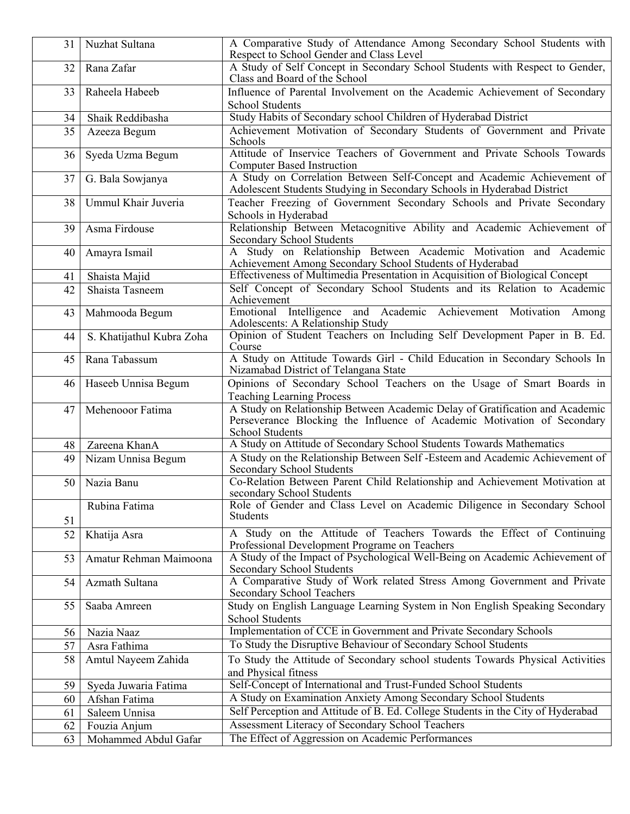| 31 | Nuzhat Sultana            | A Comparative Study of Attendance Among Secondary School Students with<br>Respect to School Gender and Class Level                                                                |
|----|---------------------------|-----------------------------------------------------------------------------------------------------------------------------------------------------------------------------------|
| 32 | Rana Zafar                | A Study of Self Concept in Secondary School Students with Respect to Gender,<br>Class and Board of the School                                                                     |
| 33 | Raheela Habeeb            | Influence of Parental Involvement on the Academic Achievement of Secondary                                                                                                        |
|    |                           | <b>School Students</b>                                                                                                                                                            |
| 34 | Shaik Reddibasha          | Study Habits of Secondary school Children of Hyderabad District                                                                                                                   |
| 35 | Azeeza Begum              | Achievement Motivation of Secondary Students of Government and Private<br>Schools                                                                                                 |
| 36 | Syeda Uzma Begum          | Attitude of Inservice Teachers of Government and Private Schools Towards<br><b>Computer Based Instruction</b>                                                                     |
| 37 | G. Bala Sowjanya          | A Study on Correlation Between Self-Concept and Academic Achievement of<br>Adolescent Students Studying in Secondary Schools in Hyderabad District                                |
| 38 | Ummul Khair Juveria       | Teacher Freezing of Government Secondary Schools and Private Secondary<br>Schools in Hyderabad                                                                                    |
| 39 | Asma Firdouse             | Relationship Between Metacognitive Ability and Academic Achievement of<br>Secondary School Students                                                                               |
| 40 | Amayra Ismail             | A Study on Relationship Between Academic Motivation and Academic<br>Achievement Among Secondary School Students of Hyderabad                                                      |
| 41 | Shaista Majid             | Effectiveness of Multimedia Presentation in Acquisition of Biological Concept                                                                                                     |
| 42 | Shaista Tasneem           | Self Concept of Secondary School Students and its Relation to Academic<br>Achievement                                                                                             |
| 43 | Mahmooda Begum            | Emotional Intelligence and Academic Achievement Motivation Among<br>Adolescents: A Relationship Study                                                                             |
| 44 | S. Khatijathul Kubra Zoha | Opinion of Student Teachers on Including Self Development Paper in B. Ed.<br>Course                                                                                               |
| 45 | Rana Tabassum             | A Study on Attitude Towards Girl - Child Education in Secondary Schools In<br>Nizamabad District of Telangana State                                                               |
| 46 | Haseeb Unnisa Begum       | Opinions of Secondary School Teachers on the Usage of Smart Boards in<br><b>Teaching Learning Process</b>                                                                         |
| 47 | Mehenooor Fatima          | A Study on Relationship Between Academic Delay of Gratification and Academic<br>Perseverance Blocking the Influence of Academic Motivation of Secondary<br><b>School Students</b> |
| 48 | Zareena KhanA             | A Study on Attitude of Secondary School Students Towards Mathematics                                                                                                              |
| 49 | Nizam Unnisa Begum        | A Study on the Relationship Between Self -Esteem and Academic Achievement of<br>Secondary School Students                                                                         |
| 50 | Nazia Banu                | Co-Relation Between Parent Child Relationship and Achievement Motivation at<br>secondary School Students                                                                          |
| 51 | Rubina Fatima             | Role of Gender and Class Level on Academic Diligence in Secondary School<br>Students                                                                                              |
| 52 | Khatija Asra              | A Study on the Attitude of Teachers Towards the Effect of Continuing<br>Professional Development Programe on Teachers                                                             |
| 53 | Amatur Rehman Maimoona    | A Study of the Impact of Psychological Well-Being on Academic Achievement of<br><b>Secondary School Students</b>                                                                  |
| 54 | Azmath Sultana            | A Comparative Study of Work related Stress Among Government and Private<br>Secondary School Teachers                                                                              |
| 55 | Saaba Amreen              | Study on English Language Learning System in Non English Speaking Secondary<br>School Students                                                                                    |
| 56 | Nazia Naaz                | Implementation of CCE in Government and Private Secondary Schools                                                                                                                 |
| 57 | Asra Fathima              | To Study the Disruptive Behaviour of Secondary School Students                                                                                                                    |
| 58 | Amtul Nayeem Zahida       | To Study the Attitude of Secondary school students Towards Physical Activities<br>and Physical fitness                                                                            |
| 59 | Syeda Juwaria Fatima      | Self-Concept of International and Trust-Funded School Students                                                                                                                    |
| 60 | Afshan Fatima             | A Study on Examination Anxiety Among Secondary School Students                                                                                                                    |
| 61 | Saleem Unnisa             | Self Perception and Attitude of B. Ed. College Students in the City of Hyderabad                                                                                                  |
| 62 | Fouzia Anjum              | Assessment Literacy of Secondary School Teachers                                                                                                                                  |
| 63 | Mohammed Abdul Gafar      | The Effect of Aggression on Academic Performances                                                                                                                                 |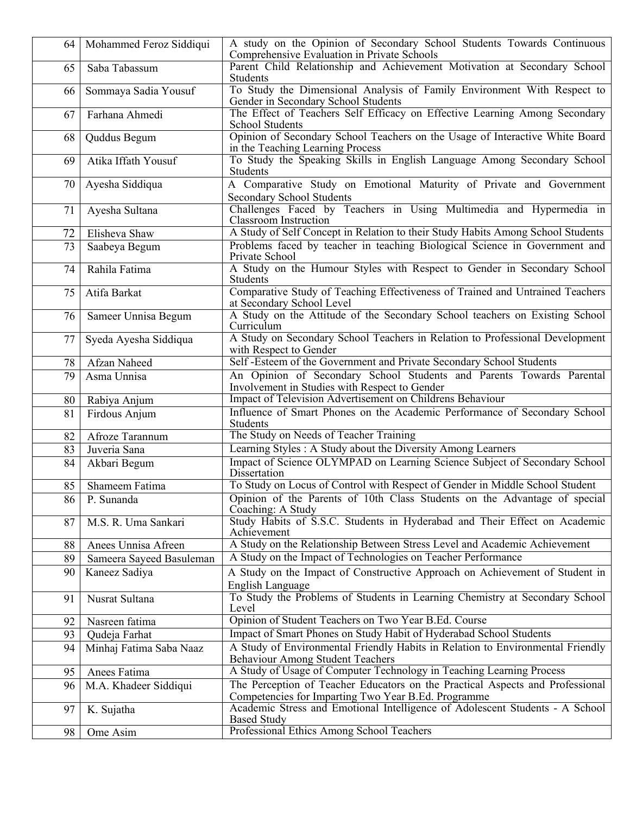| 64 | Mohammed Feroz Siddiqui  | A study on the Opinion of Secondary School Students Towards Continuous<br>Comprehensive Evaluation in Private Schools                |
|----|--------------------------|--------------------------------------------------------------------------------------------------------------------------------------|
| 65 | Saba Tabassum            | Parent Child Relationship and Achievement Motivation at Secondary School<br>Students                                                 |
| 66 | Sommaya Sadia Yousuf     | To Study the Dimensional Analysis of Family Environment With Respect to<br>Gender in Secondary School Students                       |
| 67 | Farhana Ahmedi           | The Effect of Teachers Self Efficacy on Effective Learning Among Secondary<br>School Students                                        |
| 68 | Quddus Begum             | Opinion of Secondary School Teachers on the Usage of Interactive White Board<br>in the Teaching Learning Process                     |
| 69 | Atika Iffath Yousuf      | To Study the Speaking Skills in English Language Among Secondary School<br>Students                                                  |
| 70 | Ayesha Siddiqua          | A Comparative Study on Emotional Maturity of Private and Government<br><b>Secondary School Students</b>                              |
| 71 | Ayesha Sultana           | Challenges Faced by Teachers in Using Multimedia and Hypermedia in<br><b>Classroom</b> Instruction                                   |
| 72 | Elisheva Shaw            | A Study of Self Concept in Relation to their Study Habits Among School Students                                                      |
| 73 | Saabeya Begum            | Problems faced by teacher in teaching Biological Science in Government and                                                           |
|    |                          | Private School                                                                                                                       |
| 74 | Rahila Fatima            | A Study on the Humour Styles with Respect to Gender in Secondary School<br>Students                                                  |
| 75 | Atifa Barkat             | Comparative Study of Teaching Effectiveness of Trained and Untrained Teachers<br>at Secondary School Level                           |
| 76 | Sameer Unnisa Begum      | A Study on the Attitude of the Secondary School teachers on Existing School<br>Curriculum                                            |
| 77 | Syeda Ayesha Siddiqua    | A Study on Secondary School Teachers in Relation to Professional Development<br>with Respect to Gender                               |
| 78 | Afzan Naheed             | Self-Esteem of the Government and Private Secondary School Students                                                                  |
| 79 | Asma Unnisa              | An Opinion of Secondary School Students and Parents Towards Parental<br>Involvement in Studies with Respect to Gender                |
| 80 | Rabiya Anjum             | Impact of Television Advertisement on Childrens Behaviour                                                                            |
| 81 | Firdous Anjum            | Influence of Smart Phones on the Academic Performance of Secondary School<br>Students                                                |
| 82 | Afroze Tarannum          | The Study on Needs of Teacher Training                                                                                               |
| 83 | Juveria Sana             | Learning Styles: A Study about the Diversity Among Learners                                                                          |
| 84 | Akbari Begum             | Impact of Science OLYMPAD on Learning Science Subject of Secondary School<br>Dissertation                                            |
| 85 | Shameem Fatima           | To Study on Locus of Control with Respect of Gender in Middle School Student                                                         |
| 86 | P. Sunanda               | Opinion of the Parents of 10th Class Students on the Advantage of special<br>Coaching: A Study                                       |
| 87 | M.S. R. Uma Sankari      | Study Habits of S.S.C. Students in Hyderabad and Their Effect on Academic<br>Achievement                                             |
| 88 | Anees Unnisa Afreen      | A Study on the Relationship Between Stress Level and Academic Achievement                                                            |
| 89 | Sameera Sayeed Basuleman | A Study on the Impact of Technologies on Teacher Performance                                                                         |
| 90 | Kaneez Sadiya            | A Study on the Impact of Constructive Approach on Achievement of Student in<br>English Language                                      |
| 91 | Nusrat Sultana           | To Study the Problems of Students in Learning Chemistry at Secondary School<br>Level                                                 |
| 92 | Nasreen fatima           | Opinion of Student Teachers on Two Year B.Ed. Course                                                                                 |
| 93 | Qudeja Farhat            | Impact of Smart Phones on Study Habit of Hyderabad School Students                                                                   |
| 94 | Minhaj Fatima Saba Naaz  | A Study of Environmental Friendly Habits in Relation to Environmental Friendly<br><b>Behaviour Among Student Teachers</b>            |
| 95 | Anees Fatima             | A Study of Usage of Computer Technology in Teaching Learning Process                                                                 |
| 96 | M.A. Khadeer Siddiqui    | The Perception of Teacher Educators on the Practical Aspects and Professional<br>Competencies for Imparting Two Year B.Ed. Programme |
| 97 | K. Sujatha               | Academic Stress and Emotional Intelligence of Adolescent Students - A School<br><b>Based Study</b>                                   |
| 98 | Ome Asim                 | Professional Ethics Among School Teachers                                                                                            |
|    |                          |                                                                                                                                      |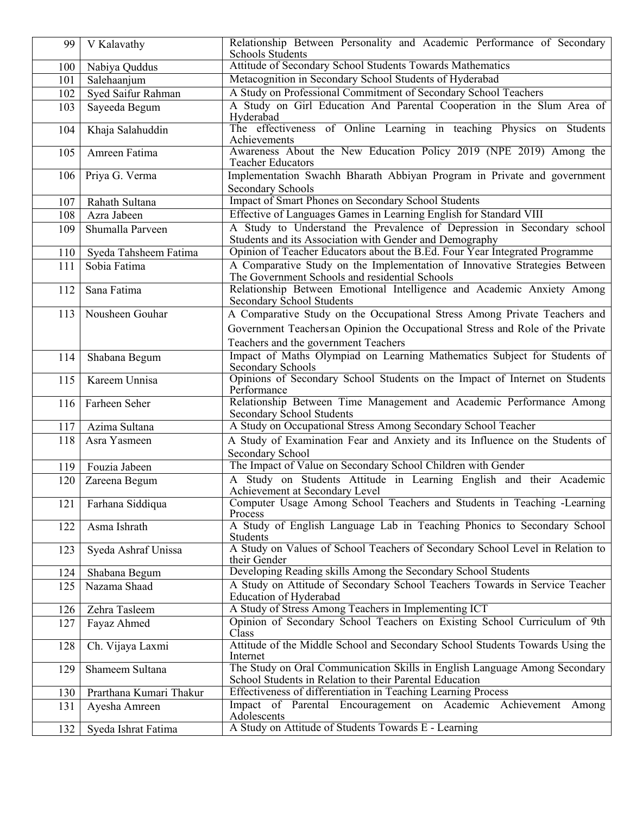| 99  | V Kalavathy             | Relationship Between Personality and Academic Performance of Secondary<br><b>Schools Students</b>                                     |
|-----|-------------------------|---------------------------------------------------------------------------------------------------------------------------------------|
| 100 | Nabiya Quddus           | Attitude of Secondary School Students Towards Mathematics                                                                             |
| 101 | Salehaanjum             | Metacognition in Secondary School Students of Hyderabad                                                                               |
| 102 | Syed Saifur Rahman      | A Study on Professional Commitment of Secondary School Teachers                                                                       |
| 103 | Sayeeda Begum           | A Study on Girl Education And Parental Cooperation in the Slum Area of<br>Hyderabad                                                   |
| 104 | Khaja Salahuddin        | The effectiveness of Online Learning in teaching Physics on Students<br>Achievements                                                  |
| 105 | Amreen Fatima           | Awareness About the New Education Policy 2019 (NPE 2019) Among the<br><b>Teacher Educators</b>                                        |
| 106 | Priya G. Verma          | Implementation Swachh Bharath Abbiyan Program in Private and government<br>Secondary Schools                                          |
| 107 | Rahath Sultana          | <b>Impact of Smart Phones on Secondary School Students</b>                                                                            |
| 108 | Azra Jabeen             | Effective of Languages Games in Learning English for Standard VIII                                                                    |
|     | Shumalla Parveen        | A Study to Understand the Prevalence of Depression in Secondary school                                                                |
| 109 |                         | Students and its Association with Gender and Demography                                                                               |
| 110 | Syeda Tahsheem Fatima   | Opinion of Teacher Educators about the B.Ed. Four Year Integrated Programme                                                           |
| 111 | Sobia Fatima            | A Comparative Study on the Implementation of Innovative Strategies Between<br>The Government Schools and residential Schools          |
| 112 | Sana Fatima             | Relationship Between Emotional Intelligence and Academic Anxiety Among<br><b>Secondary School Students</b>                            |
| 113 | Nousheen Gouhar         | A Comparative Study on the Occupational Stress Among Private Teachers and                                                             |
|     |                         | Government Teachers an Opinion the Occupational Stress and Role of the Private                                                        |
|     |                         | Teachers and the government Teachers                                                                                                  |
| 114 | Shabana Begum           | Impact of Maths Olympiad on Learning Mathematics Subject for Students of<br>Secondary Schools                                         |
| 115 | Kareem Unnisa           | Opinions of Secondary School Students on the Impact of Internet on Students<br>Performance                                            |
| 116 | Farheen Seher           | Relationship Between Time Management and Academic Performance Among<br>Secondary School Students                                      |
| 117 | Azima Sultana           | A Study on Occupational Stress Among Secondary School Teacher                                                                         |
| 118 | Asra Yasmeen            | A Study of Examination Fear and Anxiety and its Influence on the Students of                                                          |
|     |                         | Secondary School                                                                                                                      |
| 119 | Fouzia Jabeen           | The Impact of Value on Secondary School Children with Gender                                                                          |
| 120 | Zareena Begum           | A Study on Students Attitude in Learning English and their Academic<br>Achievement at Secondary Level                                 |
| 121 | Farhana Siddiqua        | Computer Usage Among School Teachers and Students in Teaching -Learning<br>Process                                                    |
| 122 | Asma Ishrath            | A Study of English Language Lab in Teaching Phonics to Secondary School<br>Students                                                   |
| 123 | Syeda Ashraf Unissa     | A Study on Values of School Teachers of Secondary School Level in Relation to<br>their Gender                                         |
| 124 | Shabana Begum           | Developing Reading skills Among the Secondary School Students                                                                         |
| 125 | Nazama Shaad            | A Study on Attitude of Secondary School Teachers Towards in Service Teacher<br>Education of Hyderabad                                 |
| 126 | Zehra Tasleem           | A Study of Stress Among Teachers in Implementing ICT                                                                                  |
| 127 | Fayaz Ahmed             | Opinion of Secondary School Teachers on Existing School Curriculum of 9th<br>Class                                                    |
| 128 | Ch. Vijaya Laxmi        | Attitude of the Middle School and Secondary School Students Towards Using the<br>Internet                                             |
| 129 | Shameem Sultana         | The Study on Oral Communication Skills in English Language Among Secondary<br>School Students in Relation to their Parental Education |
| 130 | Prarthana Kumari Thakur | Effectiveness of differentiation in Teaching Learning Process                                                                         |
| 131 | Ayesha Amreen           | Impact of Parental Encouragement on Academic Achievement Among<br>Adolescents                                                         |
| 132 | Syeda Ishrat Fatima     | A Study on Attitude of Students Towards E - Learning                                                                                  |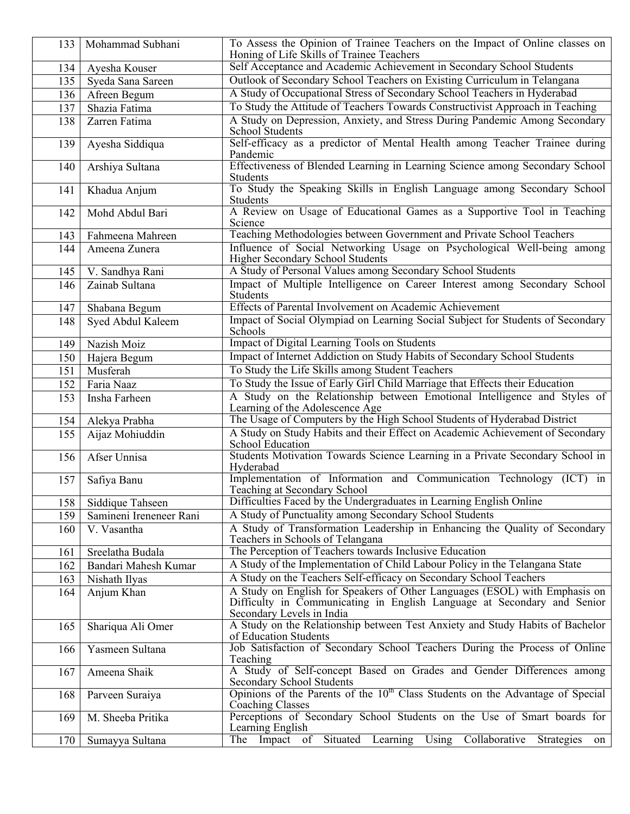| 133 | Mohammad Subhani        | To Assess the Opinion of Trainee Teachers on the Impact of Online classes on<br>Honing of Life Skills of Trainee Teachers                                                          |
|-----|-------------------------|------------------------------------------------------------------------------------------------------------------------------------------------------------------------------------|
| 134 | Ayesha Kouser           | Self Acceptance and Academic Achievement in Secondary School Students                                                                                                              |
| 135 | Syeda Sana Sareen       | Outlook of Secondary School Teachers on Existing Curriculum in Telangana                                                                                                           |
| 136 | Afreen Begum            | A Study of Occupational Stress of Secondary School Teachers in Hyderabad                                                                                                           |
| 137 | Shazia Fatima           | To Study the Attitude of Teachers Towards Constructivist Approach in Teaching                                                                                                      |
| 138 | Zarren Fatima           | A Study on Depression, Anxiety, and Stress During Pandemic Among Secondary                                                                                                         |
|     |                         | <b>School Students</b>                                                                                                                                                             |
| 139 | Ayesha Siddiqua         | Self-efficacy as a predictor of Mental Health among Teacher Trainee during<br>Pandemic                                                                                             |
| 140 | Arshiya Sultana         | Effectiveness of Blended Learning in Learning Science among Secondary School<br>Students                                                                                           |
| 141 | Khadua Anjum            | To Study the Speaking Skills in English Language among Secondary School<br>Students                                                                                                |
| 142 | Mohd Abdul Bari         | A Review on Usage of Educational Games as a Supportive Tool in Teaching<br>Science                                                                                                 |
| 143 | Fahmeena Mahreen        | Teaching Methodologies between Government and Private School Teachers                                                                                                              |
| 144 | Ameena Zunera           | Influence of Social Networking Usage on Psychological Well-being among<br>Higher Secondary School Students                                                                         |
| 145 | V. Sandhya Rani         | A Study of Personal Values among Secondary School Students                                                                                                                         |
| 146 | Zainab Sultana          | Impact of Multiple Intelligence on Career Interest among Secondary School<br>Students                                                                                              |
| 147 | Shabana Begum           | Effects of Parental Involvement on Academic Achievement                                                                                                                            |
| 148 | Syed Abdul Kaleem       | Impact of Social Olympiad on Learning Social Subject for Students of Secondary<br>Schools                                                                                          |
| 149 | Nazish Moiz             | Impact of Digital Learning Tools on Students                                                                                                                                       |
| 150 | Hajera Begum            | Impact of Internet Addiction on Study Habits of Secondary School Students                                                                                                          |
| 151 | Musferah                | To Study the Life Skills among Student Teachers                                                                                                                                    |
| 152 | Faria Naaz              | To Study the Issue of Early Girl Child Marriage that Effects their Education                                                                                                       |
| 153 | Insha Farheen           | A Study on the Relationship between Emotional Intelligence and Styles of<br>Learning of the Adolescence Age                                                                        |
| 154 | Alekya Prabha           | The Usage of Computers by the High School Students of Hyderabad District                                                                                                           |
| 155 | Aijaz Mohiuddin         | A Study on Study Habits and their Effect on Academic Achievement of Secondary<br>School Education                                                                                  |
| 156 | Afser Unnisa            | Students Motivation Towards Science Learning in a Private Secondary School in<br>Hyderabad                                                                                         |
| 157 | Safiya Banu             | Implementation of Information and Communication Technology (ICT) in<br>Teaching at Secondary School                                                                                |
| 158 | Siddique Tahseen        | Difficulties Faced by the Undergraduates in Learning English Online                                                                                                                |
| 159 | Samineni Ireneneer Rani | A Study of Punctuality among Secondary School Students                                                                                                                             |
| 160 | V. Vasantha             | A Study of Transformation Leadership in Enhancing the Quality of Secondary<br>Teachers in Schools of Telangana                                                                     |
| 161 | Sreelatha Budala        | The Perception of Teachers towards Inclusive Education                                                                                                                             |
| 162 | Bandari Mahesh Kumar    | A Study of the Implementation of Child Labour Policy in the Telangana State                                                                                                        |
| 163 | Nishath Ilyas           | A Study on the Teachers Self-efficacy on Secondary School Teachers                                                                                                                 |
| 164 | Anjum Khan              | A Study on English for Speakers of Other Languages (ESOL) with Emphasis on<br>Difficulty in Communicating in English Language at Secondary and Senior<br>Secondary Levels in India |
| 165 | Shariqua Ali Omer       | A Study on the Relationship between Test Anxiety and Study Habits of Bachelor<br>of Education Students                                                                             |
| 166 | Yasmeen Sultana         | Job Satisfaction of Secondary School Teachers During the Process of Online<br>Teaching                                                                                             |
| 167 | Ameena Shaik            | A Study of Self-concept Based on Grades and Gender Differences among<br><b>Secondary School Students</b>                                                                           |
| 168 | Parveen Suraiya         | Opinions of the Parents of the 10 <sup>th</sup> Class Students on the Advantage of Special<br><b>Coaching Classes</b>                                                              |
| 169 | M. Sheeba Pritika       | Perceptions of Secondary School Students on the Use of Smart boards for<br>Learning English                                                                                        |
| 170 | Sumayya Sultana         | Collaborative<br>The Impact<br>Situated<br>$\overline{\text{Using}}$<br>Learning<br>Strategies<br>of<br>on                                                                         |